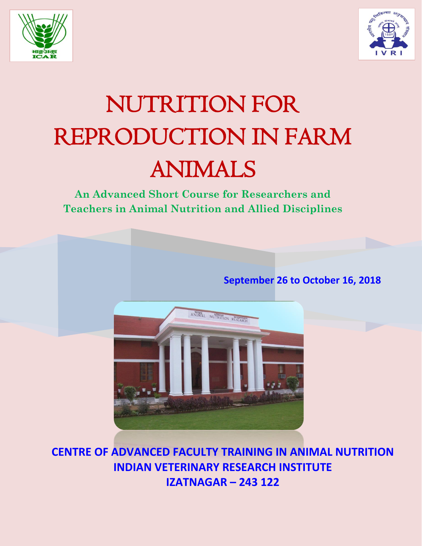



# NUTRITION FOR REPRODUCTION IN FARM ANIMALS

**An Advanced Short Course for Researchers and Teachers in Animal Nutrition and Allied Disciplines**

**September 26 to October 16, 2018**



**CENTRE OF ADVANCED FACULTY TRAINING IN ANIMAL NUTRITION INDIAN VETERINARY RESEARCH INSTITUTE IZATNAGAR – 243 122**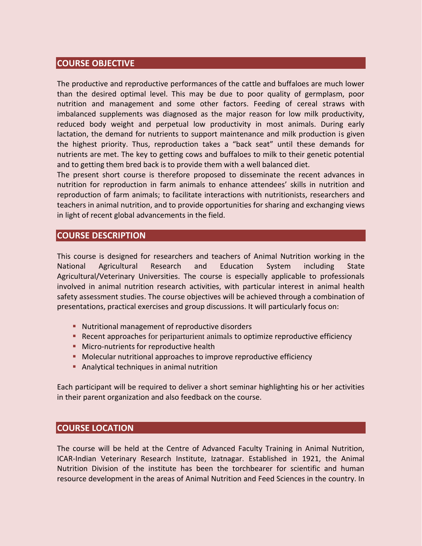# **COURSE OBJECTIVE**

The productive and reproductive performances of the cattle and buffaloes are much lower than the desired optimal level. This may be due to poor quality of germplasm, poor nutrition and management and some other factors. Feeding of cereal straws with imbalanced supplements was diagnosed as the major reason for low milk productivity, reduced body weight and perpetual low productivity in most animals. During early lactation, the demand for nutrients to support maintenance and milk production is given the highest priority. Thus, reproduction takes a "back seat" until these demands for nutrients are met. The key to getting cows and buffaloes to milk to their genetic potential and to getting them bred back is to provide them with a well balanced diet.

The present short course is therefore proposed to disseminate the recent advances in nutrition for reproduction in farm animals to enhance attendees' skills in nutrition and reproduction of farm animals; to facilitate interactions with nutritionists, researchers and teachers in animal nutrition, and to provide opportunities for sharing and exchanging views in light of recent global advancements in the field.

# **COURSE DESCRIPTION**

This course is designed for researchers and teachers of Animal Nutrition working in the National Agricultural Research and Education System including State Agricultural/Veterinary Universities. The course is especially applicable to professionals involved in animal nutrition research activities, with particular interest in animal health safety assessment studies. The course objectives will be achieved through a combination of presentations, practical exercises and group discussions. It will particularly focus on:

- **Nutritional management of reproductive disorders**
- **Recent approaches for periparturient animals to optimize reproductive efficiency**
- **Micro-nutrients for reproductive health**
- **Molecular nutritional approaches to improve reproductive efficiency**
- Analytical techniques in animal nutrition

Each participant will be required to deliver a short seminar highlighting his or her activities in their parent organization and also feedback on the course.

# **COURSE LOCATION**

The course will be held at the Centre of Advanced Faculty Training in Animal Nutrition, ICAR-Indian Veterinary Research Institute, Izatnagar. Established in 1921, the Animal Nutrition Division of the institute has been the torchbearer for scientific and human resource development in the areas of Animal Nutrition and Feed Sciences in the country. In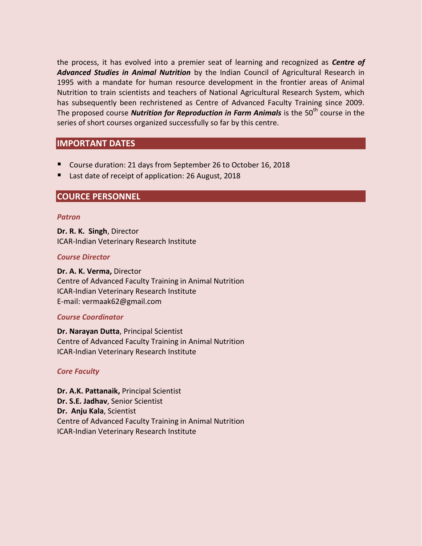the process, it has evolved into a premier seat of learning and recognized as *Centre of Advanced Studies in Animal Nutrition* by the Indian Council of Agricultural Research in 1995 with a mandate for human resource development in the frontier areas of Animal Nutrition to train scientists and teachers of National Agricultural Research System, which has subsequently been rechristened as Centre of Advanced Faculty Training since 2009. The proposed course **Nutrition for Reproduction in Farm Animals** is the 50<sup>th</sup> course in the series of short courses organized successfully so far by this centre.

# **IMPORTANT DATES**

- Course duration: 21 days from September 26 to October 16, 2018
- Last date of receipt of application: 26 August, 2018

## **COURCE PERSONNEL**

#### *Patron*

**Dr. R. K. Singh**, Director ICAR-Indian Veterinary Research Institute

#### *Course Director*

**Dr. A. K. Verma,** Director Centre of Advanced Faculty Training in Animal Nutrition ICAR-Indian Veterinary Research Institute E-mail: vermaak62@gmail.com

#### *Course Coordinator*

**Dr. Narayan Dutta**, Principal Scientist Centre of Advanced Faculty Training in Animal Nutrition ICAR-Indian Veterinary Research Institute

#### *Core Faculty*

**Dr. A.K. Pattanaik,** Principal Scientist **Dr. S.E. Jadhav**, Senior Scientist **Dr. Anju Kala**, Scientist Centre of Advanced Faculty Training in Animal Nutrition ICAR-Indian Veterinary Research Institute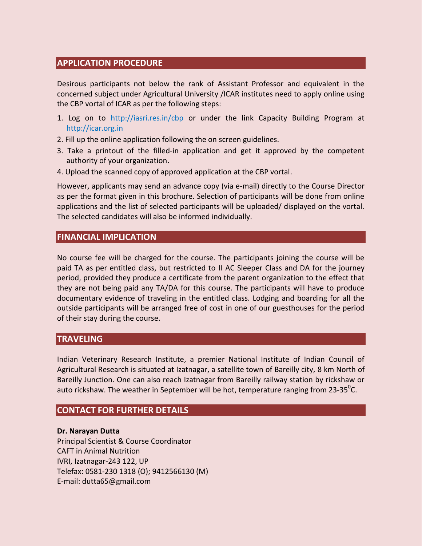# **APPLICATION PROCEDURE**

Desirous participants not below the rank of Assistant Professor and equivalent in the concerned subject under Agricultural University /ICAR institutes need to apply online using the CBP vortal of ICAR as per the following steps:

- 1. Log on to http://iasri.res.in/cbp or under the link Capacity Building Program at http://icar.org.in
- 2. Fill up the online application following the on screen guidelines.
- 3. Take a printout of the filled-in application and get it approved by the competent authority of your organization.
- 4. Upload the scanned copy of approved application at the CBP vortal.

However, applicants may send an advance copy (via e-mail) directly to the Course Director as per the format given in this brochure. Selection of participants will be done from online applications and the list of selected participants will be uploaded/ displayed on the vortal. The selected candidates will also be informed individually.

# **FINANCIAL IMPLICATION**

No course fee will be charged for the course. The participants joining the course will be paid TA as per entitled class, but restricted to II AC Sleeper Class and DA for the journey period, provided they produce a certificate from the parent organization to the effect that they are not being paid any TA/DA for this course. The participants will have to produce documentary evidence of traveling in the entitled class. Lodging and boarding for all the outside participants will be arranged free of cost in one of our guesthouses for the period of their stay during the course.

# **TRAVELING**

Indian Veterinary Research Institute, a premier National Institute of Indian Council of Agricultural Research is situated at Izatnagar, a satellite town of Bareilly city, 8 km North of Bareilly Junction. One can also reach Izatnagar from Bareilly railway station by rickshaw or auto rickshaw. The weather in September will be hot, temperature ranging from 23-35<sup>0</sup>C.

# **CONTACT FOR FURTHER DETAILS**

#### **Dr. Narayan Dutta**

Principal Scientist & Course Coordinator CAFT in Animal Nutrition IVRI, Izatnagar-243 122, UP Telefax: 0581-230 1318 (O); 9412566130 (M) E-mail: dutta65@gmail.com